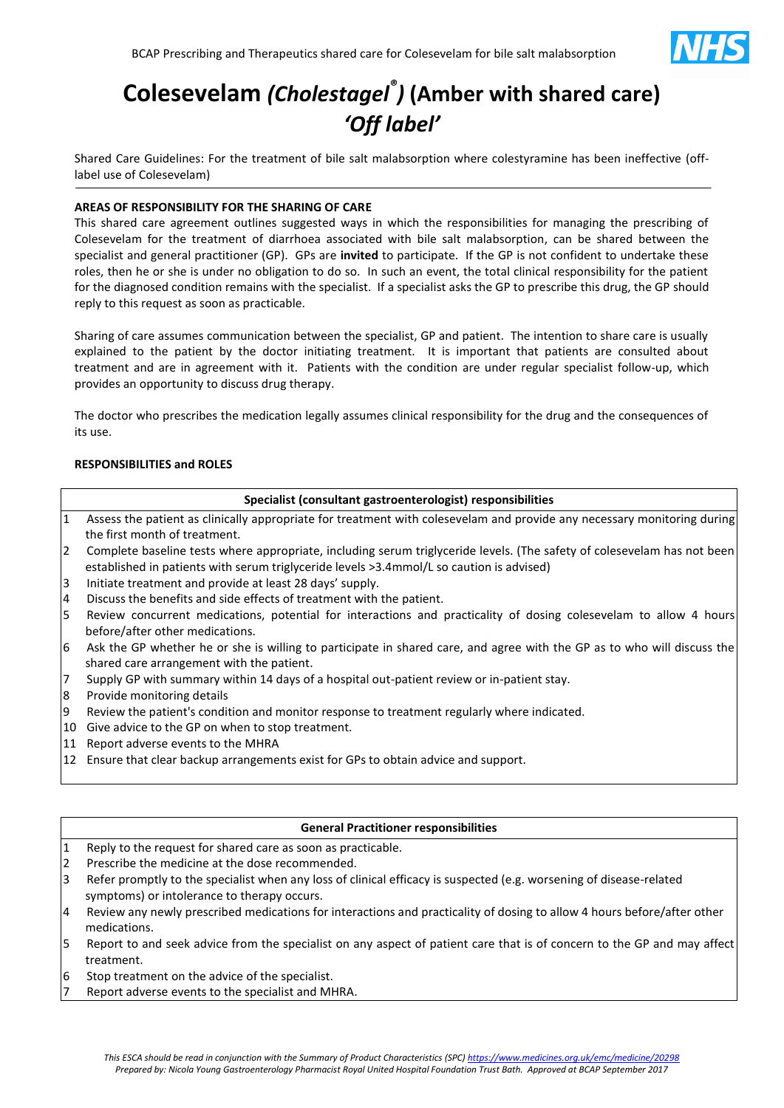

# **Colesevelam** *(Cholestagel® )* **(Amber with shared care)** *'Off label'*

Shared Care Guidelines: For the treatment of bile salt malabsorption where colestyramine has been ineffective (offlabel use of Colesevelam)

# **AREAS OF RESPONSIBILITY FOR THE SHARING OF CARE**

This shared care agreement outlines suggested ways in which the responsibilities for managing the prescribing of Colesevelam for the treatment of diarrhoea associated with bile salt malabsorption, can be shared between the specialist and general practitioner (GP). GPs are **invited** to participate. If the GP is not confident to undertake these roles, then he or she is under no obligation to do so. In such an event, the total clinical responsibility for the patient for the diagnosed condition remains with the specialist. If a specialist asks the GP to prescribe this drug, the GP should reply to this request as soon as practicable.

Sharing of care assumes communication between the specialist, GP and patient. The intention to share care is usually explained to the patient by the doctor initiating treatment. It is important that patients are consulted about treatment and are in agreement with it. Patients with the condition are under regular specialist follow-up, which provides an opportunity to discuss drug therapy.

The doctor who prescribes the medication legally assumes clinical responsibility for the drug and the consequences of its use.

# **RESPONSIBILITIES and ROLES**

#### **Specialist (consultant gastroenterologist) responsibilities**

- 1 Assess the patient as clinically appropriate for treatment with colesevelam and provide any necessary monitoring during the first month of treatment.
- 2 Complete baseline tests where appropriate, including serum triglyceride levels. (The safety of colesevelam has not been established in patients with serum triglyceride levels >3.4mmol/L so caution is advised)
- 3 Initiate treatment and provide at least 28 days' supply.
- 4 Discuss the benefits and side effects of treatment with the patient.
- 5 Review concurrent medications, potential for interactions and practicality of dosing colesevelam to allow 4 hours before/after other medications.
- 6 Ask the GP whether he or she is willing to participate in shared care, and agree with the GP as to who will discuss the shared care arrangement with the patient.
- 7 Supply GP with summary within 14 days of a hospital out-patient review or in-patient stay.
- 8 Provide monitoring details
- 9 Review the patient's condition and monitor response to treatment regularly where indicated.
- 10 Give advice to the GP on when to stop treatment.
- 11 Report adverse events to the MHRA
- 12 Ensure that clear backup arrangements exist for GPs to obtain advice and support.

#### **General Practitioner responsibilities**

- 1 Reply to the request for shared care as soon as practicable.
- 2 Prescribe the medicine at the dose recommended.
- 3 Refer promptly to the specialist when any loss of clinical efficacy is suspected (e.g. worsening of disease-related symptoms) or intolerance to therapy occurs.
- 4 Review any newly prescribed medications for interactions and practicality of dosing to allow 4 hours before/after other medications.
- 5 Report to and seek advice from the specialist on any aspect of patient care that is of concern to the GP and may affect treatment.
- 6 Stop treatment on the advice of the specialist.
- Report adverse events to the specialist and MHRA.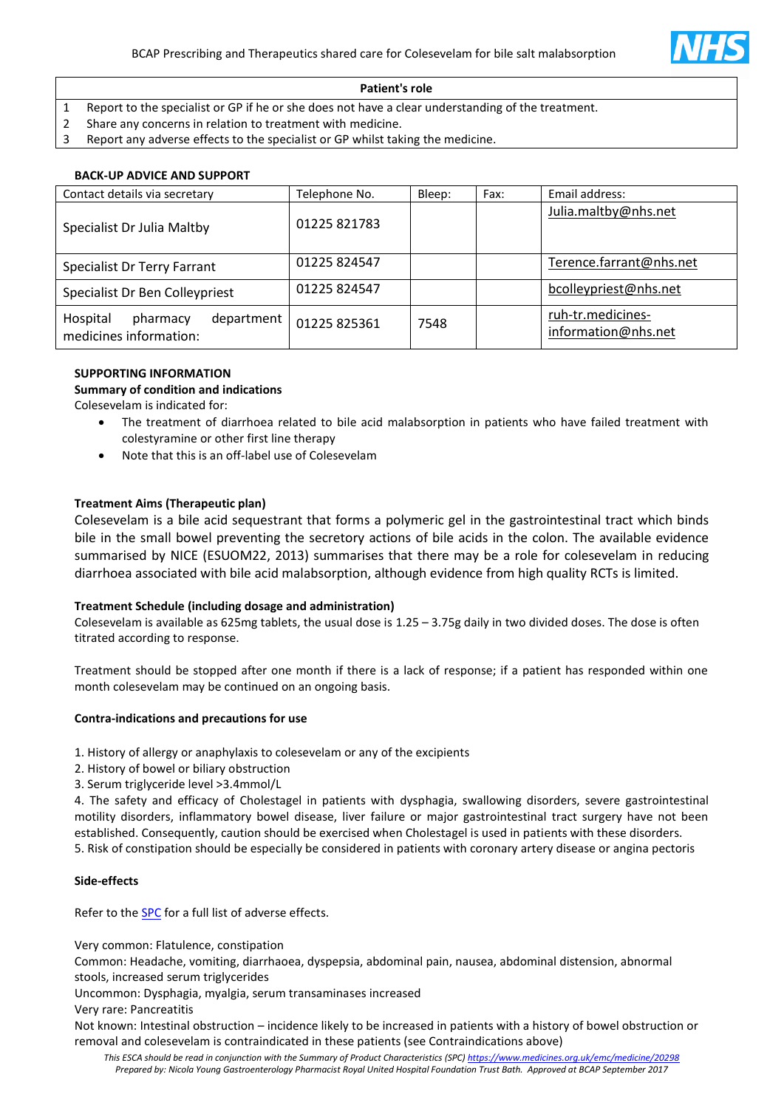

#### **Patient's role**

- 1 Report to the specialist or GP if he or she does not have a clear understanding of the treatment.
- 2 Share any concerns in relation to treatment with medicine.
- 3 Report any adverse effects to the specialist or GP whilst taking the medicine.

# **BACK-UP ADVICE AND SUPPORT**

| Contact details via secretary                                | Telephone No. | Bleep: | Fax: | Email address:                           |
|--------------------------------------------------------------|---------------|--------|------|------------------------------------------|
| Specialist Dr Julia Maltby                                   | 01225 821783  |        |      | Julia.maltby@nhs.net                     |
| Specialist Dr Terry Farrant                                  | 01225 824547  |        |      | Terence.farrant@nhs.net                  |
| Specialist Dr Ben Colleypriest                               | 01225 824547  |        |      | bcolleypriest@nhs.net                    |
| Hospital<br>department<br>pharmacy<br>medicines information: | 01225 825361  | 7548   |      | ruh-tr.medicines-<br>information@nhs.net |

# **SUPPORTING INFORMATION**

**Summary of condition and indications**

Colesevelam is indicated for:

- The treatment of diarrhoea related to bile acid malabsorption in patients who have failed treatment with colestyramine or other first line therapy
- Note that this is an off-label use of Colesevelam

# **Treatment Aims (Therapeutic plan)**

Colesevelam is a bile acid sequestrant that forms a polymeric gel in the gastrointestinal tract which binds bile in the small bowel preventing the secretory actions of bile acids in the colon. The available evidence summarised by NICE (ESUOM22, 2013) summarises that there may be a role for colesevelam in reducing diarrhoea associated with bile acid malabsorption, although evidence from high quality RCTs is limited.

# **Treatment Schedule (including dosage and administration)**

Colesevelam is available as 625mg tablets, the usual dose is 1.25 – 3.75g daily in two divided doses. The dose is often titrated according to response.

Treatment should be stopped after one month if there is a lack of response; if a patient has responded within one month colesevelam may be continued on an ongoing basis.

# **Contra-indications and precautions for use**

1. History of allergy or anaphylaxis to colesevelam or any of the excipients

- 2. History of bowel or biliary obstruction
- 3. Serum triglyceride level >3.4mmol/L

4. The safety and efficacy of Cholestagel in patients with dysphagia, swallowing disorders, severe gastrointestinal motility disorders, inflammatory bowel disease, liver failure or major gastrointestinal tract surgery have not been established. Consequently, caution should be exercised when Cholestagel is used in patients with these disorders. 5. Risk of constipation should be especially be considered in patients with coronary artery disease or angina pectoris

#### **Side-effects**

Refer to the **SPC** for a full list of adverse effects.

Very common: Flatulence, constipation

Common: Headache, vomiting, diarrhaoea, dyspepsia, abdominal pain, nausea, abdominal distension, abnormal stools, increased serum triglycerides

Uncommon: Dysphagia, myalgia, serum transaminases increased

Very rare: Pancreatitis

Not known: Intestinal obstruction – incidence likely to be increased in patients with a history of bowel obstruction or removal and colesevelam is contraindicated in these patients (see Contraindications above)